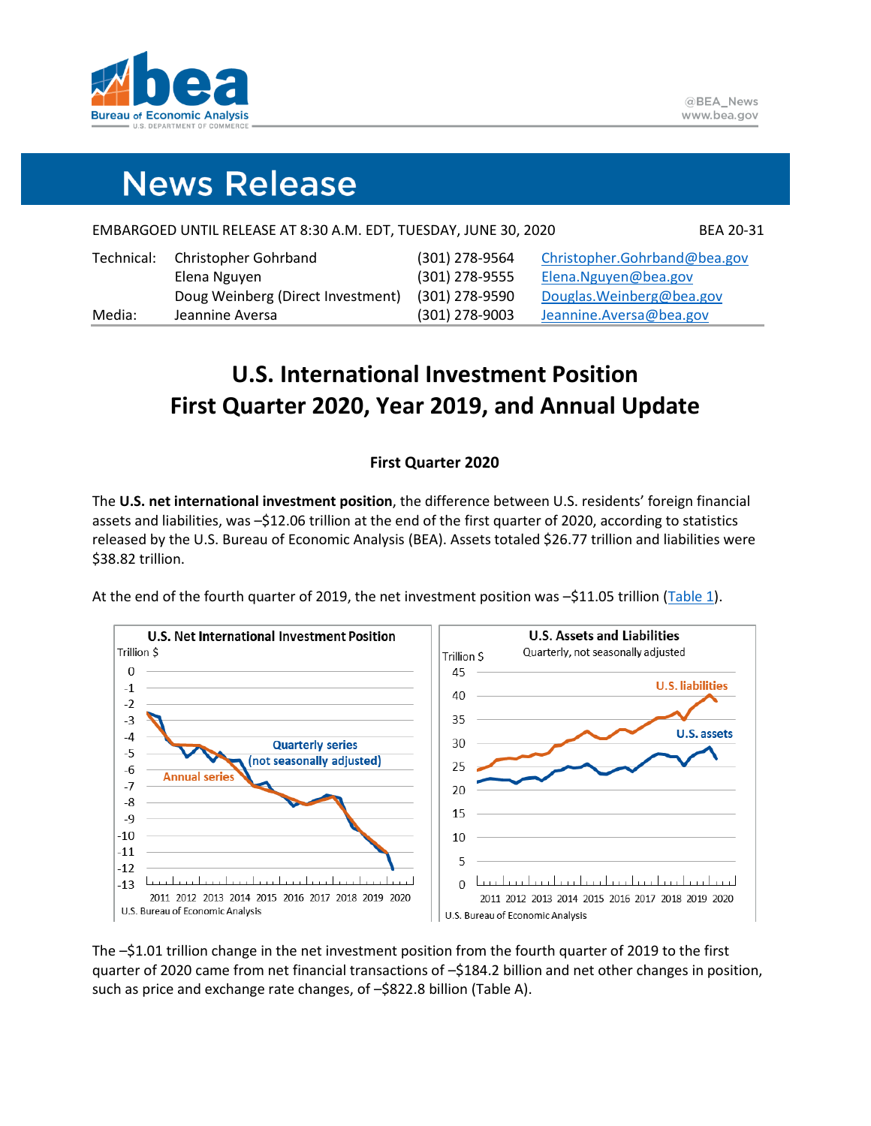

# **News Release**

| Media:     | Jeannine Aversa                                                  | (301) 278-9003 | Jeannine.Aversa@bea.gov      |
|------------|------------------------------------------------------------------|----------------|------------------------------|
|            | Doug Weinberg (Direct Investment)                                | (301) 278-9590 | Douglas. Weinberg@bea.gov    |
|            | Elena Nguyen                                                     | (301) 278-9555 | Elena.Nguyen@bea.gov         |
| Technical: | <b>Christopher Gohrband</b>                                      | (301) 278-9564 | Christopher.Gohrband@bea.gov |
|            | EMBARGOED UNTIL RELEASE AT 8:30 A.M. EDT, TUESDAY, JUNE 30, 2020 |                | BEA 20-31                    |

# **U.S. International Investment Position First Quarter 2020, Year 2019, and Annual Update**

## **First Quarter 2020**

The **U.S. net international investment position**, the difference between U.S. residents' foreign financial assets and liabilities, was –\$12.06 trillion at the end of the first quarter of 2020, according to statistics released by the U.S. Bureau of Economic Analysis (BEA). Assets totaled \$26.77 trillion and liabilities were \$38.82 trillion.

At the end of the fourth quarter of 2019, the net investment position was –\$11.05 trillion [\(Table 1\)](#page-7-0).



The –\$1.01 trillion change in the net investment position from the fourth quarter of 2019 to the first quarter of 2020 came from net financial transactions of -\$184.2 billion and net other changes in position, such as price and exchange rate changes, of –\$822.8 billion (Table A).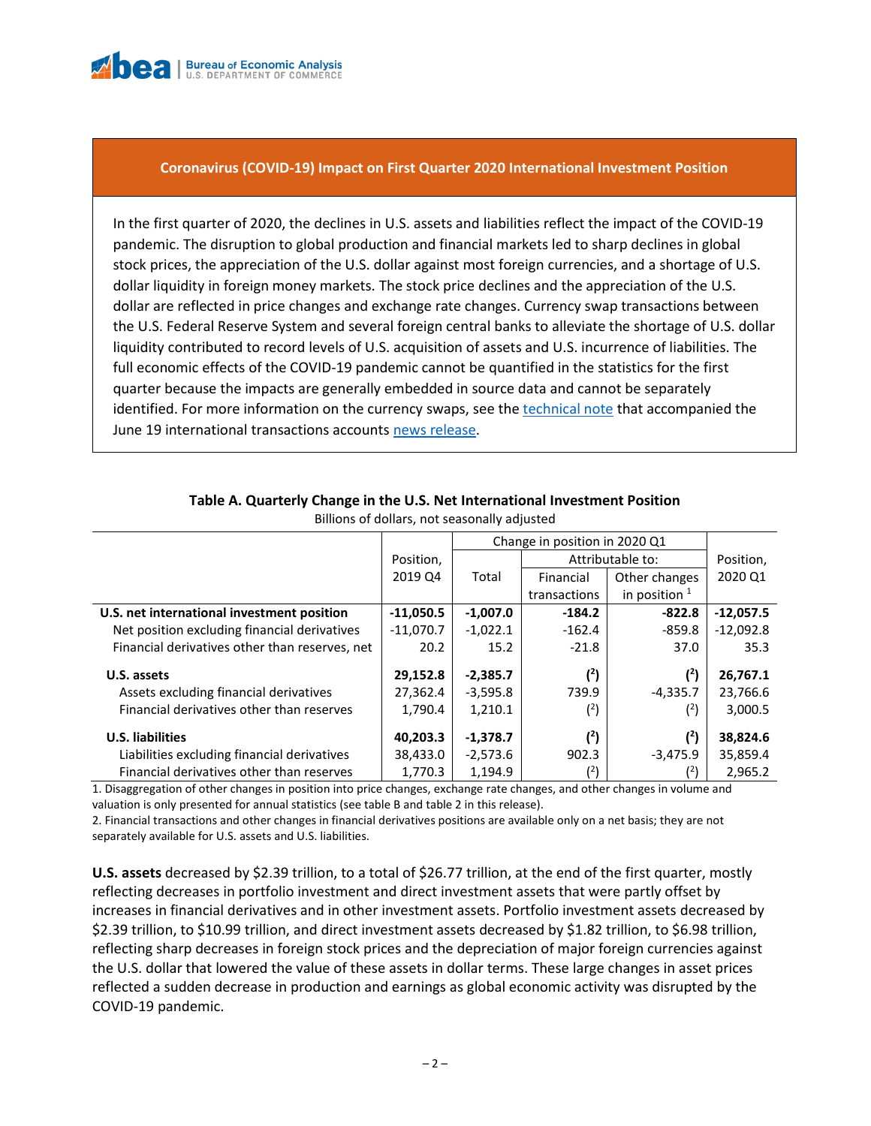

### **Coronavirus (COVID-19) Impact on First Quarter 2020 International Investment Position**

In the first quarter of 2020, the declines in U.S. assets and liabilities reflect the impact of the COVID-19 pandemic. The disruption to global production and financial markets led to sharp declines in global stock prices, the appreciation of the U.S. dollar against most foreign currencies, and a shortage of U.S. dollar liquidity in foreign money markets. The stock price declines and the appreciation of the U.S. dollar are reflected in price changes and exchange rate changes. Currency swap transactions between the U.S. Federal Reserve System and several foreign central banks to alleviate the shortage of U.S. dollar liquidity contributed to record levels of U.S. acquisition of assets and U.S. incurrence of liabilities. The full economic effects of the COVID-19 pandemic cannot be quantified in the statistics for the first quarter because the impacts are generally embedded in source data and cannot be separately identified. For more information on the currency swaps, see th[e technical note](https://www.bea.gov/sites/default/files/2020-06/trans120-tech_0.pdf) that accompanied the June 19 international transactions accounts [news release.](https://www.bea.gov/news/2020/us-international-transactions-first-quarter-2020-and-annual-update)

|                                                |             | Change in position in 2020 Q1 |                                 |               |             |  |
|------------------------------------------------|-------------|-------------------------------|---------------------------------|---------------|-------------|--|
|                                                | Position,   |                               | Attributable to:                | Position,     |             |  |
|                                                | 2019 Q4     | Total                         | Financial                       | Other changes | 2020 Q1     |  |
|                                                |             |                               | in position $1$<br>transactions |               |             |  |
| U.S. net international investment position     | $-11,050.5$ | $-1,007.0$                    | $-184.2$                        | $-822.8$      | $-12,057.5$ |  |
| Net position excluding financial derivatives   | $-11,070.7$ | $-1,022.1$                    | $-162.4$                        | $-859.8$      | $-12,092.8$ |  |
| Financial derivatives other than reserves, net | 20.2        | 15.2                          | $-21.8$                         | 37.0          | 35.3        |  |
| U.S. assets                                    | 29,152.8    | $-2,385.7$                    | (2)                             | (2)           | 26,767.1    |  |
| Assets excluding financial derivatives         | 27,362.4    | $-3,595.8$                    | 739.9                           | $-4,335.7$    | 23,766.6    |  |
| Financial derivatives other than reserves      | 1,790.4     | 1,210.1                       | (2)                             | (2)           | 3,000.5     |  |
| <b>U.S. liabilities</b>                        | 40,203.3    | $-1,378.7$                    | (2)                             | $(^{2})$      | 38,824.6    |  |
| Liabilities excluding financial derivatives    | 38,433.0    | $-2,573.6$                    | 902.3                           | $-3,475.9$    | 35,859.4    |  |
| Financial derivatives other than reserves      | 1,770.3     | 1.194.9                       | $^{(2)}$                        | (4)           | 2.965.2     |  |

#### **Table A. Quarterly Change in the U.S. Net International Investment Position** Billions of dollars, not seasonally adjusted

1. Disaggregation of other changes in position into price changes, exchange rate changes, and other changes in volume and valuation is only presented for annual statistics (see table B and table 2 in this release).

2. Financial transactions and other changes in financial derivatives positions are available only on a net basis; they are not separately available for U.S. assets and U.S. liabilities.

**U.S. assets** decreased by \$2.39 trillion, to a total of \$26.77 trillion, at the end of the first quarter, mostly reflecting decreases in portfolio investment and direct investment assets that were partly offset by increases in financial derivatives and in other investment assets. Portfolio investment assets decreased by \$2.39 trillion, to \$10.99 trillion, and direct investment assets decreased by \$1.82 trillion, to \$6.98 trillion, reflecting sharp decreases in foreign stock prices and the depreciation of major foreign currencies against the U.S. dollar that lowered the value of these assets in dollar terms. These large changes in asset prices reflected a sudden decrease in production and earnings as global economic activity was disrupted by the COVID-19 pandemic.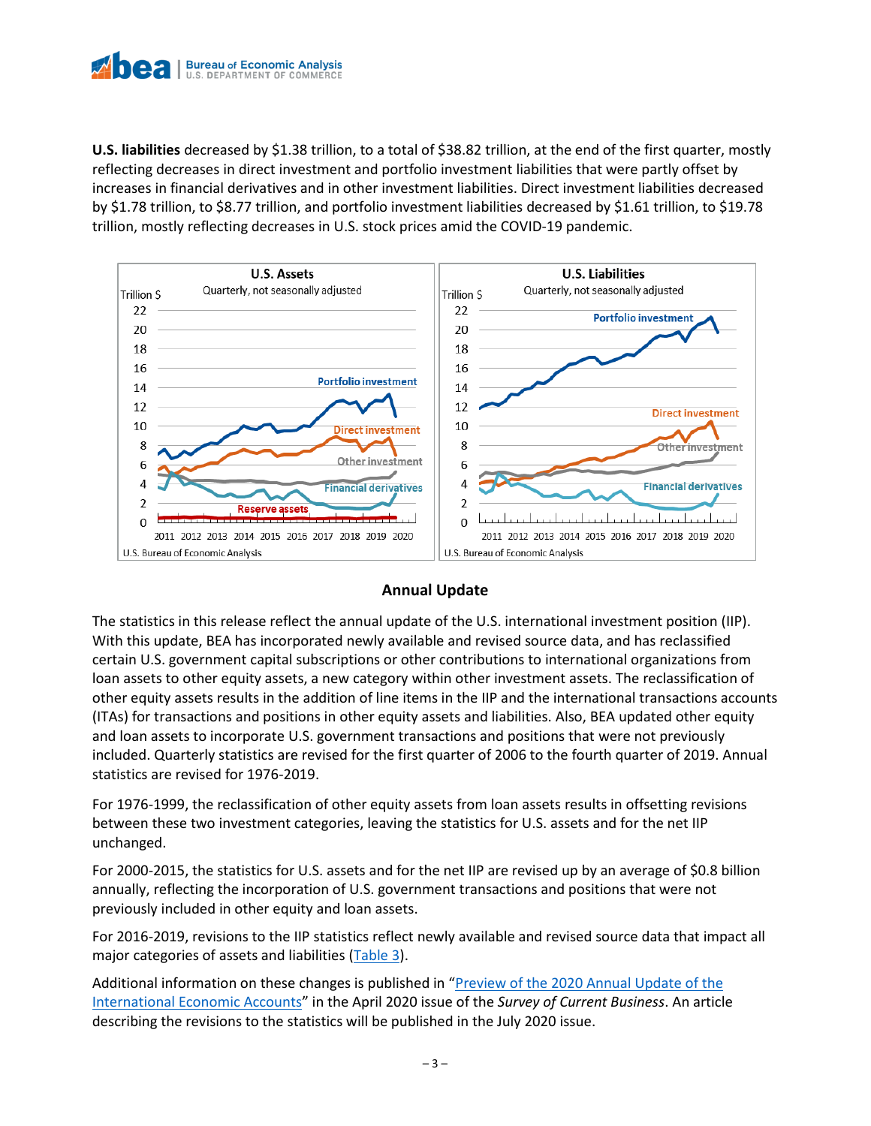

**U.S. liabilities** decreased by \$1.38 trillion, to a total of \$38.82 trillion, at the end of the first quarter, mostly reflecting decreases in direct investment and portfolio investment liabilities that were partly offset by increases in financial derivatives and in other investment liabilities. Direct investment liabilities decreased by \$1.78 trillion, to \$8.77 trillion, and portfolio investment liabilities decreased by \$1.61 trillion, to \$19.78 trillion, mostly reflecting decreases in U.S. stock prices amid the COVID-19 pandemic.



## **Annual Update**

The statistics in this release reflect the annual update of the U.S. international investment position (IIP). With this update, BEA has incorporated newly available and revised source data, and has reclassified certain U.S. government capital subscriptions or other contributions to international organizations from loan assets to other equity assets, a new category within other investment assets. The reclassification of other equity assets results in the addition of line items in the IIP and the international transactions accounts (ITAs) for transactions and positions in other equity assets and liabilities. Also, BEA updated other equity and loan assets to incorporate U.S. government transactions and positions that were not previously included. Quarterly statistics are revised for the first quarter of 2006 to the fourth quarter of 2019. Annual statistics are revised for 1976-2019.

For 1976-1999, the reclassification of other equity assets from loan assets results in offsetting revisions between these two investment categories, leaving the statistics for U.S. assets and for the net IIP unchanged.

For 2000-2015, the statistics for U.S. assets and for the net IIP are revised up by an average of \$0.8 billion annually, reflecting the incorporation of U.S. government transactions and positions that were not previously included in other equity and loan assets.

For 2016-2019, revisions to the IIP statistics reflect newly available and revised source data that impact all major categories of assets and liabilities [\(Table 3\)](#page-9-0).

Additional information on these changes is published in "Preview of the [2020 Annual Update of the](https://apps.bea.gov/scb/2020/04-april/0420-international-annual-revision-preview.htm)  [International Economic Accounts](https://apps.bea.gov/scb/2020/04-april/0420-international-annual-revision-preview.htm)" in the April 2020 issue of the *Survey of Current Business*. An article describing the revisions to the statistics will be published in the July 2020 issue.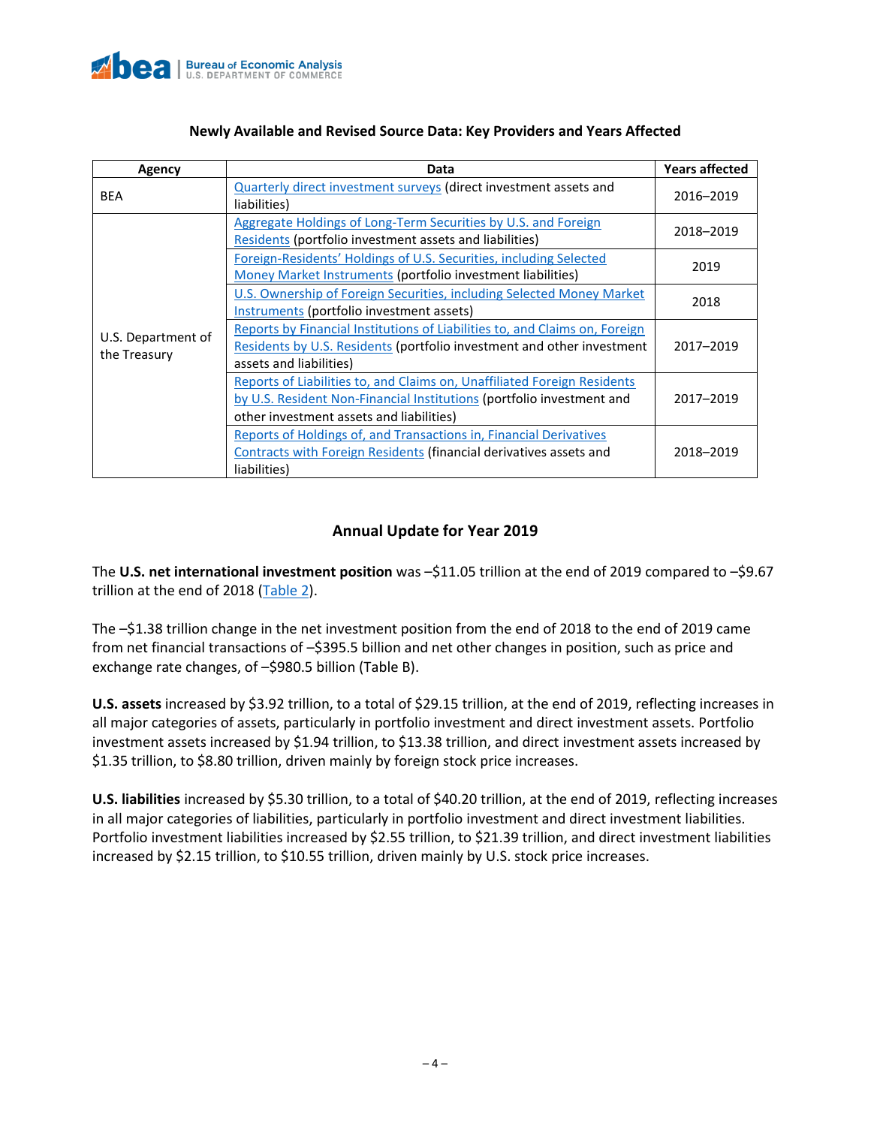

| Agency                             | Data                                                                                                                                                                                          |           |
|------------------------------------|-----------------------------------------------------------------------------------------------------------------------------------------------------------------------------------------------|-----------|
| <b>BEA</b>                         | <b>Quarterly direct investment surveys (direct investment assets and</b><br>liabilities)                                                                                                      |           |
|                                    | Aggregate Holdings of Long-Term Securities by U.S. and Foreign<br>Residents (portfolio investment assets and liabilities)                                                                     | 2018-2019 |
|                                    | Foreign-Residents' Holdings of U.S. Securities, including Selected<br>Money Market Instruments (portfolio investment liabilities)                                                             | 2019      |
|                                    | U.S. Ownership of Foreign Securities, including Selected Money Market<br>Instruments (portfolio investment assets)                                                                            | 2018      |
| U.S. Department of<br>the Treasury | Reports by Financial Institutions of Liabilities to, and Claims on, Foreign<br>Residents by U.S. Residents (portfolio investment and other investment<br>assets and liabilities)              | 2017-2019 |
|                                    | Reports of Liabilities to, and Claims on, Unaffiliated Foreign Residents<br>by U.S. Resident Non-Financial Institutions (portfolio investment and<br>other investment assets and liabilities) | 2017-2019 |
|                                    | <b>Reports of Holdings of, and Transactions in, Financial Derivatives</b><br>Contracts with Foreign Residents (financial derivatives assets and<br>liabilities)                               | 2018-2019 |

# **Annual Update for Year 2019**

The **U.S. net international investment position** was –\$11.05 trillion at the end of 2019 compared to –\$9.67 trillion at the end of 2018 [\(Table 2\)](#page-8-0).

The –\$1.38 trillion change in the net investment position from the end of 2018 to the end of 2019 came from net financial transactions of –\$395.5 billion and net other changes in position, such as price and exchange rate changes, of –\$980.5 billion (Table B).

**U.S. assets** increased by \$3.92 trillion, to a total of \$29.15 trillion, at the end of 2019, reflecting increases in all major categories of assets, particularly in portfolio investment and direct investment assets. Portfolio investment assets increased by \$1.94 trillion, to \$13.38 trillion, and direct investment assets increased by \$1.35 trillion, to \$8.80 trillion, driven mainly by foreign stock price increases.

**U.S. liabilities** increased by \$5.30 trillion, to a total of \$40.20 trillion, at the end of 2019, reflecting increases in all major categories of liabilities, particularly in portfolio investment and direct investment liabilities. Portfolio investment liabilities increased by \$2.55 trillion, to \$21.39 trillion, and direct investment liabilities increased by \$2.15 trillion, to \$10.55 trillion, driven mainly by U.S. stock price increases.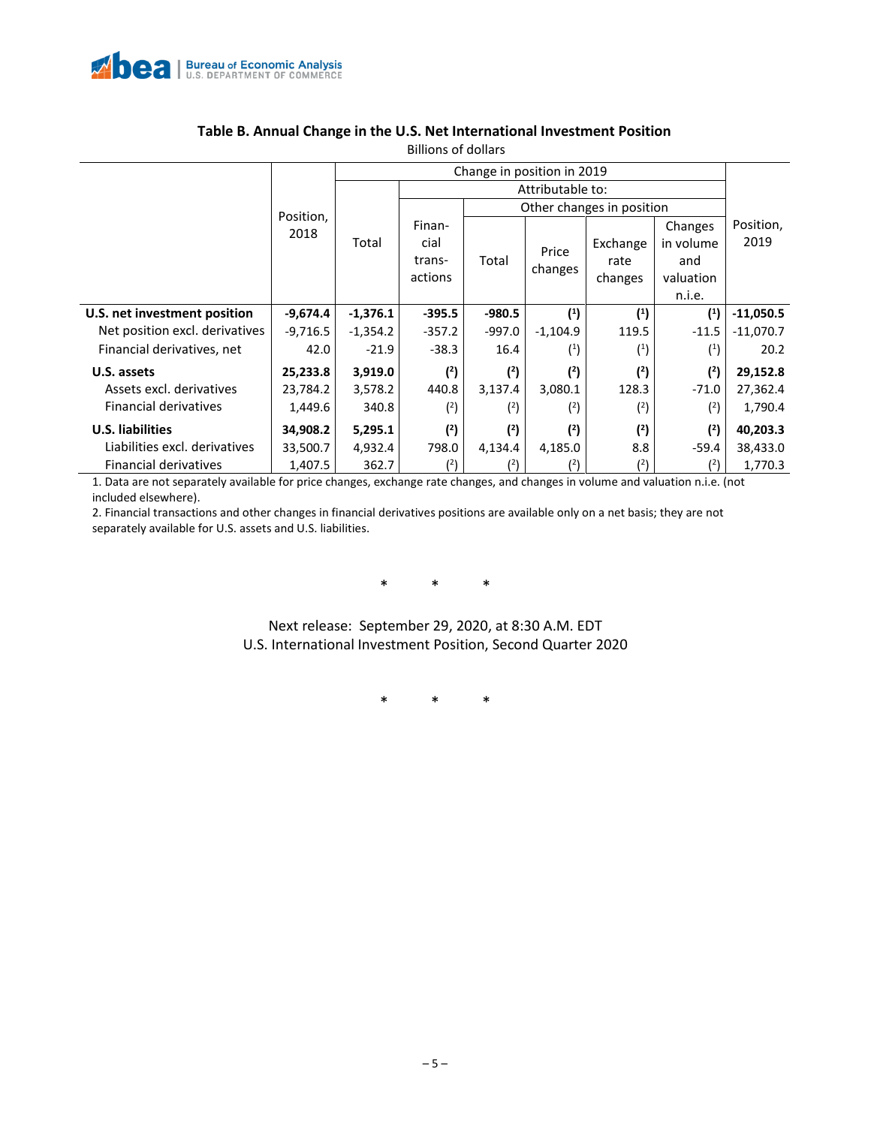

| כוסווטט וט כווטוווט            |            |            |          |                           |                |                |                |                   |  |  |  |
|--------------------------------|------------|------------|----------|---------------------------|----------------|----------------|----------------|-------------------|--|--|--|
|                                |            |            |          |                           |                |                |                |                   |  |  |  |
|                                |            |            |          |                           |                |                |                |                   |  |  |  |
|                                | Position,  |            |          | Other changes in position |                |                |                |                   |  |  |  |
|                                | 2018       |            | Finan-   |                           |                |                | Changes        | Position,<br>2019 |  |  |  |
|                                |            | Total      | cial     |                           | Price<br>Total | Exchange       | in volume      |                   |  |  |  |
|                                |            |            | trans-   |                           |                | rate           | and            |                   |  |  |  |
|                                |            | actions    | changes  | changes                   | valuation      |                |                |                   |  |  |  |
|                                |            |            |          |                           | n.i.e.         |                |                |                   |  |  |  |
| U.S. net investment position   | -9,674.4   | $-1,376.1$ | $-395.5$ | $-980.5$                  | $\binom{1}{1}$ | $\binom{1}{1}$ | $\binom{1}{2}$ | $-11,050.5$       |  |  |  |
| Net position excl. derivatives | $-9,716.5$ | $-1,354.2$ | $-357.2$ | $-997.0$                  | $-1,104.9$     | 119.5          | $-11.5$        | $-11,070.7$       |  |  |  |
| Financial derivatives, net     | 42.0       | $-21.9$    | $-38.3$  | 16.4                      | (1)            | (1)            | (1)            | 20.2              |  |  |  |
| U.S. assets                    | 25,233.8   | 3,919.0    | (2)      | (2)                       | (2)            | (2)            | (2)            | 29,152.8          |  |  |  |
| Assets excl. derivatives       | 23,784.2   | 3,578.2    | 440.8    | 3,137.4                   | 3,080.1        | 128.3          | $-71.0$        | 27,362.4          |  |  |  |
| <b>Financial derivatives</b>   | 1,449.6    | 340.8      | $(^2)$   | (2)                       | (2)            | (2)            | (2)            | 1,790.4           |  |  |  |
| <b>U.S. liabilities</b>        | 34,908.2   | 5,295.1    | (2)      | (2)                       | (2)            | (2)            | (2)            | 40,203.3          |  |  |  |
| Liabilities excl. derivatives  | 33,500.7   | 4,932.4    | 798.0    | 4,134.4                   | 4,185.0        | 8.8            | $-59.4$        | 38,433.0          |  |  |  |
| Financial derivatives          | 1,407.5    | 362.7      | (2)      | (2)                       | (2)            | $^{(2)}$       | $^{(2)}$       | 1,770.3           |  |  |  |

# **Table B. Annual Change in the U.S. Net International Investment Position**

Billions of dollars

1. Data are not separately available for price changes, exchange rate changes, and changes in volume and valuation n.i.e. (not included elsewhere).

2. Financial transactions and other changes in financial derivatives positions are available only on a net basis; they are not separately available for U.S. assets and U.S. liabilities.

\* \* \*

Next release: September 29, 2020, at 8:30 A.M. EDT U.S. International Investment Position, Second Quarter 2020

\* \* \*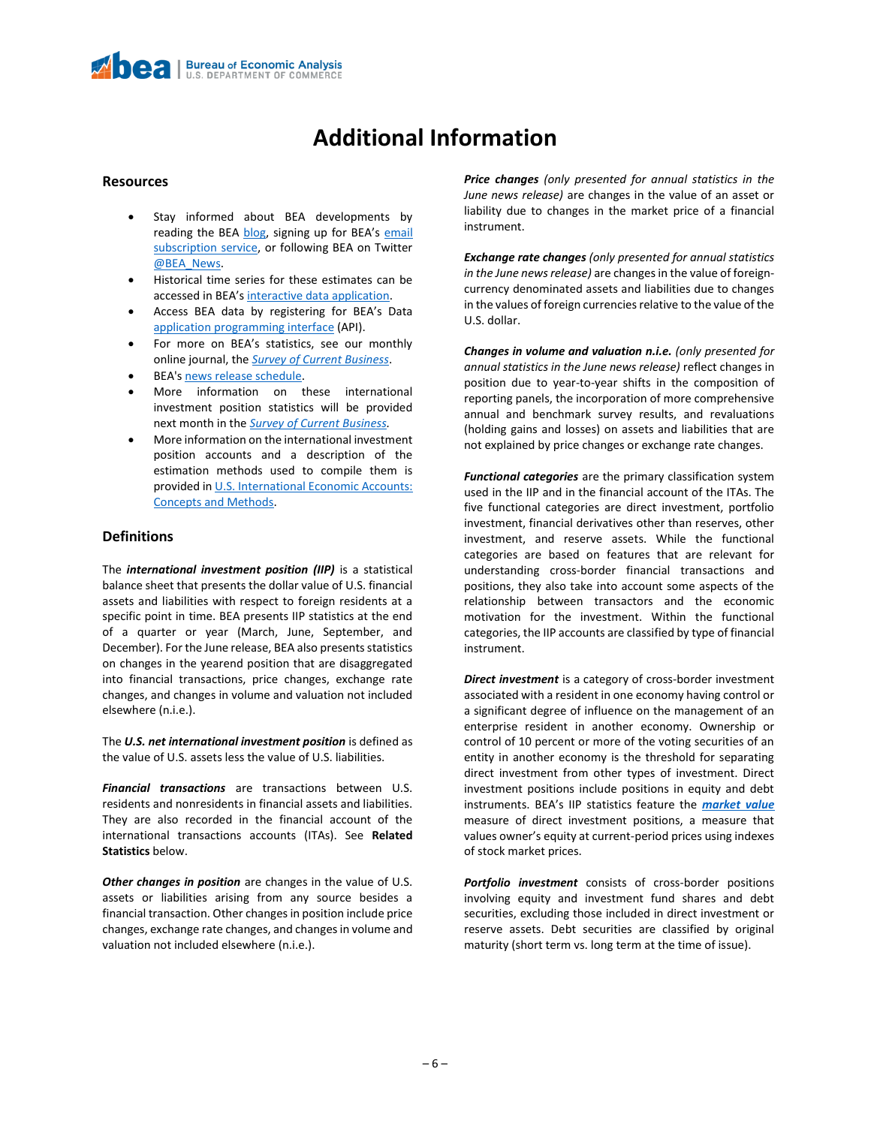# **Additional Information**

#### **Resources**

- Stay informed about BEA developments by reading the BEA [blog](https://www.bea.gov/news/blog), signing up for BEA's email [subscription service,](https://www.bea.gov/_subscribe/) or following BEA on Twitter [@BEA\\_News.](https://www.twitter.com/BEA_News)
- Historical time series for these estimates can be accessed in BEA's [interactive data application.](https://apps.bea.gov/iTable/index_ita.cfm)
- Access BEA data by registering for BEA's Data [application programming interface](https://apps.bea.gov/API/signup/index.cfm) (API).
- For more on BEA's statistics, see our monthly online journal, the *[Survey of Current Business](https://apps.bea.gov/scb/index.htm)*.
- BEA'[s news release schedule.](https://www.bea.gov/news/schedule)
- More information on these international investment position statistics will be provided next month in the *[Survey of Current Business.](https://apps.bea.gov/scb/index.htm)*
- More information on the international investment position accounts and a description of the estimation methods used to compile them is provided i[n U.S. International Economic Accounts:](https://www.bea.gov/resources/methodologies/us-international-economic-accounts-concepts-methods)  [Concepts and Methods.](https://www.bea.gov/resources/methodologies/us-international-economic-accounts-concepts-methods)

#### **Definitions**

The *international investment position (IIP)* is a statistical balance sheet that presents the dollar value of U.S. financial assets and liabilities with respect to foreign residents at a specific point in time. BEA presents IIP statistics at the end of a quarter or year (March, June, September, and December). For the June release, BEA also presents statistics on changes in the yearend position that are disaggregated into financial transactions, price changes, exchange rate changes, and changes in volume and valuation not included elsewhere (n.i.e.).

The *U.S. net international investment position* is defined as the value of U.S. assets less the value of U.S. liabilities.

*Financial transactions* are transactions between U.S. residents and nonresidents in financial assets and liabilities. They are also recorded in the financial account of the international transactions accounts (ITAs). See **Related Statistics** below.

*Other changes in position* are changes in the value of U.S. assets or liabilities arising from any source besides a financial transaction. Other changes in position include price changes, exchange rate changes, and changes in volume and valuation not included elsewhere (n.i.e.).

*Price changes (only presented for annual statistics in the June news release)* are changes in the value of an asset or liability due to changes in the market price of a financial instrument.

*Exchange rate changes (only presented for annual statistics in the June news release)* are changes in the value of foreigncurrency denominated assets and liabilities due to changes in the values of foreign currencies relative to the value of the U.S. dollar.

*Changes in volume and valuation n.i.e. (only presented for annual statistics in the June news release)* reflect changes in position due to year-to-year shifts in the composition of reporting panels, the incorporation of more comprehensive annual and benchmark survey results, and revaluations (holding gains and losses) on assets and liabilities that are not explained by price changes or exchange rate changes.

*Functional categories* are the primary classification system used in the IIP and in the financial account of the ITAs. The five functional categories are direct investment, portfolio investment, financial derivatives other than reserves, other investment, and reserve assets. While the functional categories are based on features that are relevant for understanding cross-border financial transactions and positions, they also take into account some aspects of the relationship between transactors and the economic motivation for the investment. Within the functional categories, the IIP accounts are classified by type of financial instrument.

*Direct investment* is a category of cross-border investment associated with a resident in one economy having control or a significant degree of influence on the management of an enterprise resident in another economy. Ownership or control of 10 percent or more of the voting securities of an entity in another economy is the threshold for separating direct investment from other types of investment. Direct investment positions include positions in equity and debt instruments. BEA's IIP statistics feature the *[market value](https://apps.bea.gov/international/pdf/market_value.pdf)* measure of direct investment positions, a measure that values owner's equity at current-period prices using indexes of stock market prices.

*Portfolio investment* consists of cross-border positions involving equity and investment fund shares and debt securities, excluding those included in direct investment or reserve assets. Debt securities are classified by original maturity (short term vs. long term at the time of issue).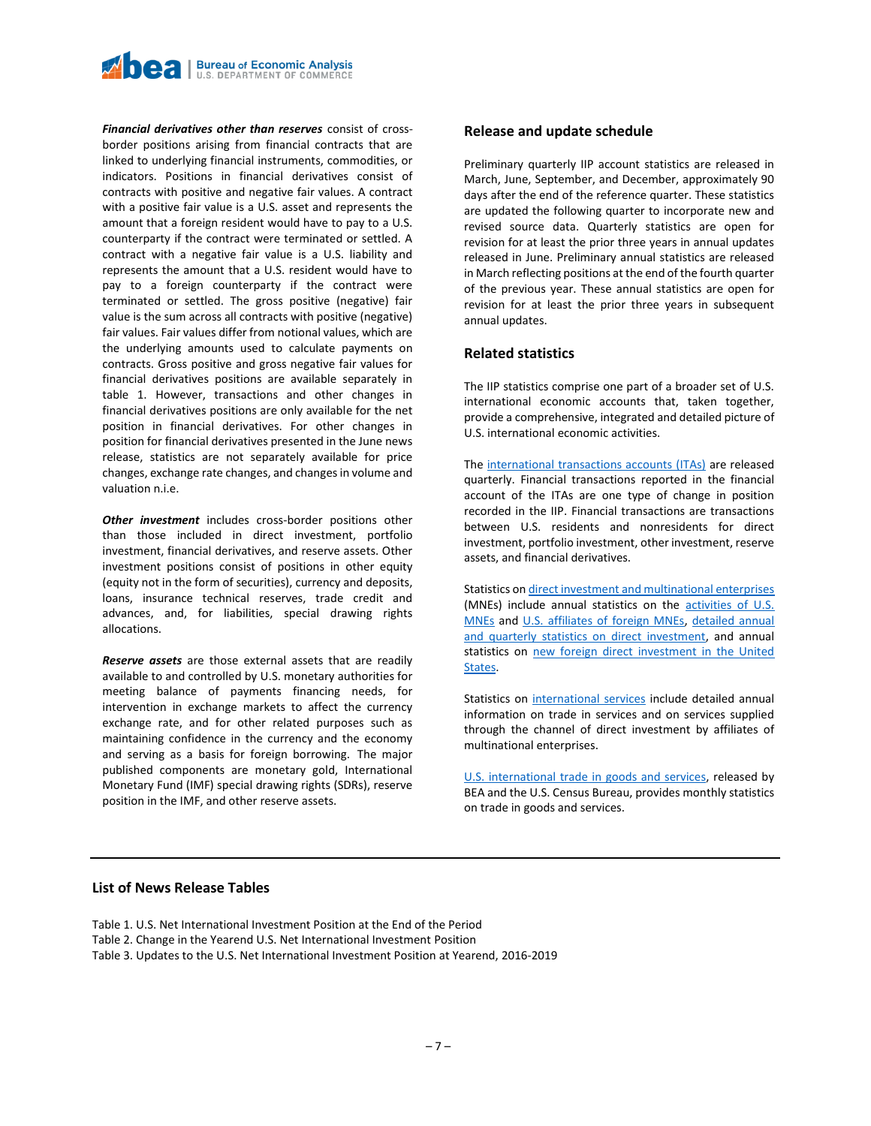

*Financial derivatives other than reserves* consist of crossborder positions arising from financial contracts that are linked to underlying financial instruments, commodities, or indicators. Positions in financial derivatives consist of contracts with positive and negative fair values. A contract with a positive fair value is a U.S. asset and represents the amount that a foreign resident would have to pay to a U.S. counterparty if the contract were terminated or settled. A contract with a negative fair value is a U.S. liability and represents the amount that a U.S. resident would have to pay to a foreign counterparty if the contract were terminated or settled. The gross positive (negative) fair value is the sum across all contracts with positive (negative) fair values. Fair values differ from notional values, which are the underlying amounts used to calculate payments on contracts. Gross positive and gross negative fair values for financial derivatives positions are available separately in table 1. However, transactions and other changes in financial derivatives positions are only available for the net position in financial derivatives. For other changes in position for financial derivatives presented in the June news release, statistics are not separately available for price changes, exchange rate changes, and changes in volume and valuation n.i.e.

*Other investment* includes cross-border positions other than those included in direct investment, portfolio investment, financial derivatives, and reserve assets. Other investment positions consist of positions in other equity (equity not in the form of securities), currency and deposits, loans, insurance technical reserves, trade credit and advances, and, for liabilities, special drawing rights allocations.

*Reserve assets* are those external assets that are readily available to and controlled by U.S. monetary authorities for meeting balance of payments financing needs, for intervention in exchange markets to affect the currency exchange rate, and for other related purposes such as maintaining confidence in the currency and the economy and serving as a basis for foreign borrowing. The major published components are monetary gold, International Monetary Fund (IMF) special drawing rights (SDRs), reserve position in the IMF, and other reserve assets.

#### **Release and update schedule**

Preliminary quarterly IIP account statistics are released in March, June, September, and December, approximately 90 days after the end of the reference quarter. These statistics are updated the following quarter to incorporate new and revised source data. Quarterly statistics are open for revision for at least the prior three years in annual updates released in June. Preliminary annual statistics are released in March reflecting positions at the end of the fourth quarter of the previous year. These annual statistics are open for revision for at least the prior three years in subsequent annual updates.

#### **Related statistics**

The IIP statistics comprise one part of a broader set of U.S. international economic accounts that, taken together, provide a comprehensive, integrated and detailed picture of U.S. international economic activities.

The [international transactions accounts](https://www.bea.gov/data/intl-trade-investment/international-transactions) (ITAs) are released quarterly. Financial transactions reported in the financial account of the ITAs are one type of change in position recorded in the IIP. Financial transactions are transactions between U.S. residents and nonresidents for direct investment, portfolio investment, other investment, reserve assets, and financial derivatives.

Statistics o[n direct investment and multinational enterprises](https://apps.bea.gov/iTable/index_MNC.cfm) (MNEs) include annual statistics on the [activities of U.S.](https://www.bea.gov/data/intl-trade-investment/activities-us-multinational-enterprises-mnes)  [MNEs](https://www.bea.gov/data/intl-trade-investment/activities-us-multinational-enterprises-mnes) and [U.S. affiliates of foreign MNEs,](https://www.bea.gov/data/intl-trade-investment/activities-us-affiliates-foreign-mnes) [detailed annual](https://www.bea.gov/products/direct-investment-country-and-industry)  [and quarterly statistics on direct investment,](https://www.bea.gov/products/direct-investment-country-and-industry) and annual statistics on [new foreign direct investment in the United](https://www.bea.gov/data/intl-trade-investment/new-foreign-direct-investment-united-states)  [States.](https://www.bea.gov/data/intl-trade-investment/new-foreign-direct-investment-united-states)

Statistics on [international services](https://www.bea.gov/data/intl-trade-investment/international-services-expanded) include detailed annual information on trade in services and on services supplied through the channel of direct investment by affiliates of multinational enterprises.

[U.S. international trade in goods and services,](https://www.bea.gov/data/intl-trade-investment/international-trade-goods-and-services) released by BEA and the U.S. Census Bureau, provides monthly statistics on trade in goods and services.

#### **List of News Release Tables**

Table 1. U.S. Net International Investment Position at the End of the Period Table 2. Change in the Yearend U.S. Net International Investment Position Table 3. Updates to the U.S. Net International Investment Position at Yearend, 2016-2019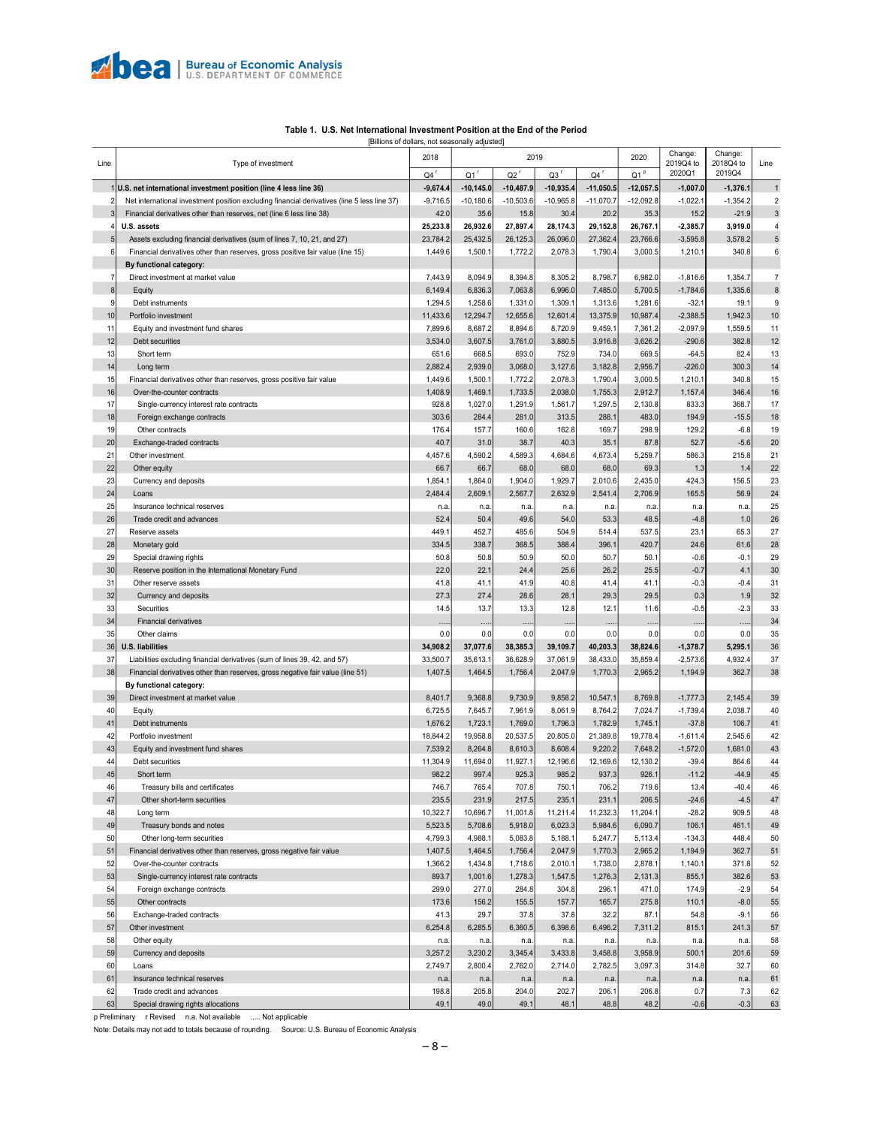

<span id="page-7-0"></span>

|          |                                                                                             | 2018                            | 2019               |                    |                    | 2020               | Change:            | Change:             |                     |                |
|----------|---------------------------------------------------------------------------------------------|---------------------------------|--------------------|--------------------|--------------------|--------------------|--------------------|---------------------|---------------------|----------------|
| Line     | Type of investment                                                                          |                                 | $Q1$ <sup>r</sup>  | $Q2$ <sup>r</sup>  |                    | $Q4$ <sup>r</sup>  | Q1 <sup>p</sup>    | 2019Q4 to<br>2020Q1 | 2018Q4 to<br>2019Q4 | Line           |
|          | U.S. net international investment position (line 4 less line 36)                            | $Q4$ <sup>r</sup><br>$-9,674.4$ | $-10,145.0$        | $-10,487.9$        | Q3<br>$-10,935.4$  | $-11,050.5$        | $-12,057.5$        | $-1,007.0$          | $-1,376.1$          | $\overline{1}$ |
| 2        | Net international investment position excluding financial derivatives (line 5 less line 37) | $-9,716.5$                      | $-10,180.6$        | $-10,503.6$        | $-10,965.8$        | $-11,070.7$        | $-12,092.8$        | $-1,022.1$          | $-1,354.2$          | $\overline{2}$ |
| 3        | Financial derivatives other than reserves, net (line 6 less line 38)                        | 42.0                            | 35.6               | 15.8               | 30.4               | 20.2               | 35.3               | 15.2                | $-21.9$             | $\mathbf{3}$   |
|          | U.S. assets                                                                                 | 25,233.8                        | 26,932.6           | 27,897.4           | 28,174.3           | 29,152.8           | 26,767.1           | $-2,385.7$          | 3,919.0             | 4              |
| 5        | Assets excluding financial derivatives (sum of lines 7, 10, 21, and 27)                     | 23,784.2                        | 25,432.5           | 26,125.3           | 26,096.0           | 27,362.4           | 23,766.6           | $-3,595.8$          | 3,578.2             | $\sqrt{5}$     |
| 6        | Financial derivatives other than reserves, gross positive fair value (line 15)              | 1,449.6                         | 1,500.1            | 1,772.2            | 2,078.3            | 1,790.4            | 3,000.5            | 1,210.1             | 340.8               | 6              |
|          | By functional category:                                                                     |                                 |                    |                    |                    |                    |                    |                     |                     |                |
| 7        | Direct investment at market value                                                           | 7,443.9                         | 8,094.9            | 8,394.8            | 8,305.2            | 8,798.7            | 6,982.0            | $-1,816.6$          | 1,354.7             | $\overline{7}$ |
| 8        | Equity                                                                                      | 6,149.4                         | 6,836.3            | 7,063.8            | 6,996.0            | 7,485.0            | 5,700.5            | $-1,784.6$          | 1,335.6             | 8              |
| 9        | Debt instruments                                                                            | 1,294.5                         | 1,258.6            | 1,331.0            | 1,309.1            | 1,313.6            | 1,281.6            | $-32.1$             | 19.1                | 9              |
| 10       | Portfolio investment                                                                        | 11,433.6                        | 12,294.7           | 12,655.6           | 12,601.4           | 13,375.9           | 10,987.4           | $-2,388.5$          | 1,942.3             | 10             |
| 11       | Equity and investment fund shares                                                           | 7,899.6                         | 8,687.2            | 8,894.6            | 8,720.9            | 9,459.1            | 7,361.2            | $-2,097.9$          | 1,559.5             | 11             |
| 12       | Debt securities                                                                             | 3,534.0                         | 3,607.5            | 3,761.0            | 3,880.5            | 3,916.8            | 3,626.2            | $-290.6$            | 382.8               | 12             |
| 13       | Short term                                                                                  | 651.6                           | 668.5              | 693.0              | 752.9              | 734.0              | 669.5              | $-64.5$             | 82.4                | 13             |
| 14       | Long term                                                                                   | 2,882.4                         | 2,939.0            | 3,068.0            | 3,127.6            | 3,182.8            | 2,956.7            | $-226.0$            | 300.3               | 14             |
| 15       | Financial derivatives other than reserves, gross positive fair value                        | 1,449.6                         | 1,500.1            | 1,772.2            | 2,078.3            | 1,790.4            | 3,000.5            | 1,210.1             | 340.8               | 15<br>16       |
| 16<br>17 | Over-the-counter contracts                                                                  | 1,408.9<br>928.8                | 1,469.1<br>1,027.0 | 1,733.5<br>1,291.9 | 2,038.0<br>1,561.7 | 1,755.3<br>1,297.5 | 2,912.7<br>2,130.8 | 1,157.4<br>833.3    | 346.4<br>368.7      | 17             |
| 18       | Single-currency interest rate contracts<br>Foreign exchange contracts                       | 303.6                           | 284.4              | 281.0              | 313.5              | 288.1              | 483.0              | 194.9               | $-15.5$             | 18             |
| 19       | Other contracts                                                                             | 176.4                           | 157.7              | 160.6              | 162.8              | 169.7              | 298.9              | 129.2               | $-6.8$              | 19             |
| 20       | Exchange-traded contracts                                                                   | 40.7                            | 31.0               | 38.7               | 40.3               | 35.1               | 87.8               | 52.7                | $-5.6$              | 20             |
| 21       | Other investment                                                                            | 4,457.6                         | 4,590.2            | 4,589.3            | 4,684.6            | 4,673.4            | 5,259.7            | 586.3               | 215.8               | 21             |
| 22       | Other equity                                                                                | 66.7                            | 66.7               | 68.0               | 68.0               | 68.0               | 69.3               | 1.3                 | 1.4                 | 22             |
| 23       | Currency and deposits                                                                       | 1,854.1                         | 1,864.0            | 1,904.0            | 1,929.7            | 2,010.6            | 2,435.0            | 424.3               | 156.5               | 23             |
| 24       | Loans                                                                                       | 2,484.4                         | 2,609.1            | 2,567.7            | 2,632.9            | 2,541.4            | 2,706.9            | 165.5               | 56.9                | 24             |
| 25       | Insurance technical reserves                                                                | n.a.                            | n.a.               | n.a.               | n.a                | n.a.               | n.a.               | n.a.                | n.a.                | 25             |
| 26       | Trade credit and advances                                                                   | 52.4                            | 50.4               | 49.6               | 54.0               | 53.3               | 48.5               | $-4.8$              | 1.0                 | 26             |
| 27       | Reserve assets                                                                              | 449.1                           | 452.7              | 485.6              | 504.9              | 514.4              | 537.5              | 23.1                | 65.3                | 27             |
| 28       | Monetary gold                                                                               | 334.5                           | 338.7              | 368.5              | 388.4              | 396.1              | 420.7              | 24.6                | 61.6                | 28             |
| 29       | Special drawing rights                                                                      | 50.8                            | 50.8               | 50.9               | 50.0               | 50.7               | 50.1               | $-0.6$              | $-0.1$              | 29             |
| 30       | Reserve position in the International Monetary Fund                                         | 22.0                            | 22.1               | 24.4               | 25.6               | 26.2               | 25.5               | $-0.7$              | 4.1                 | 30             |
| 31       | Other reserve assets                                                                        | 41.8                            | 41.1               | 41.9               | 40.8               | 41.4               | 41.1               | $-0.3$              | $-0.4$              | 31             |
| 32       | Currency and deposits                                                                       | 27.3                            | 27.4               | 28.6               | 28.1               | 29.3               | 29.5               | 0.3                 | 1.9                 | 32             |
| 33       | Securities                                                                                  | 14.5                            | 13.7               | 13.3               | 12.8               | 12.1               | 11.6               | $-0.5$              | $-2.3$              | 33             |
| 34       | <b>Financial derivatives</b>                                                                |                                 |                    |                    |                    |                    |                    |                     | .                   | 34             |
| 35       | Other claims                                                                                | 0.0                             | 0.0                | 0.0                | 0.0                | 0.0                | 0.0                | 0.0                 | 0.0                 | 35             |
| 36       | <b>U.S. liabilities</b>                                                                     | 34,908.2                        | 37,077.6           | 38,385.3           | 39,109.7           | 40,203.3           | 38,824.6           | $-1,378.7$          | 5,295.1             | 36             |
| 37       | Liabilities excluding financial derivatives (sum of lines 39, 42, and 57)                   | 33,500.7                        | 35,613.1           | 36,628.9           | 37,061.9           | 38,433.0           | 35,859.4           | $-2,573.6$          | 4,932.4             | 37             |
| 38       | Financial derivatives other than reserves, gross negative fair value (line 51)              | 1,407.5                         | 1,464.5            | 1,756.4            | 2,047.9            | 1,770.3            | 2,965.2            | 1,194.9             | 362.7               | 38             |
| 39       | By functional category:<br>Direct investment at market value                                | 8,401.7                         | 9,368.8            | 9,730.9            | 9,858.2            | 10,547.1           | 8,769.8            | $-1,777.3$          | 2,145.4             | 39             |
| 40       | Equity                                                                                      | 6,725.5                         | 7,645.7            | 7,961.9            | 8,061.9            | 8,764.2            | 7,024.7            | $-1,739.4$          | 2,038.7             | 40             |
| 41       | Debt instruments                                                                            | 1,676.2                         | 1,723.1            | 1,769.0            | 1,796.3            | 1,782.9            | 1,745.1            | $-37.8$             | 106.7               | 41             |
| 42       | Portfolio investment                                                                        | 18,844.2                        | 19,958.8           | 20,537.5           | 20,805.0           | 21,389.8           | 19,778.4           | $-1,611.4$          | 2,545.6             | 42             |
| 43       | Equity and investment fund shares                                                           | 7,539.2                         | 8,264.8            | 8,610.3            | 8,608.4            | 9,220.2            | 7,648.2            | $-1,572.0$          | 1,681.0             | 43             |
| 44       | Debt securities                                                                             | 11,304.9                        | 11,694.0           | 11.927.1           | 12,196.6           | 12,169.6           | 12,130.2           | $-39.4$             | 864.6               | 44             |
| 45       | Short term                                                                                  | 982.2                           | 997.4              | 925.3              | 985.2              | 937.3              | 926.1              | $-11.2$             | $-44.9$             | 45             |
| 46       | Treasury bills and certificates                                                             | 746.7                           | 765.4              | 707.8              | 750.1              | 706.2              | 719.6              | 13.4                | $-40.4$             | 46             |
| 47       | Other short-term securities                                                                 | 235.5                           | 231.9              | 217.5              | 235.1              | 231.1              | 206.5              | $-24.6$             | $-4.5$              | 47             |
| 48       | Long term                                                                                   | 10,322.7                        | 10,696.7           | 11,001.8           | 11,211.4           | 11,232.3           | 11,204.1           | $-28.2$             | 909.5               | 48             |
| 49       | Treasury bonds and notes                                                                    | 5,523.5                         | 5,708.6            | 5,918.0            | 6,023.3            | 5,984.6            | 6,090.7            | 106.1               | 461.1               | 49             |
| 50       | Other long-term securities                                                                  | 4,799.3                         | 4,988.1            | 5,083.8            | 5,188.1            | 5,247.7            | 5,113.4            | $-134.3$            | 448.4               | 50             |
| 51       | Financial derivatives other than reserves, gross negative fair value                        | 1,407.5                         | 1,464.5            | 1,756.4            | 2,047.9            | 1,770.3            | 2,965.2            | 1,194.9             | 362.7               | 51             |
| 52       | Over-the-counter contracts                                                                  | 1,366.2                         | 1,434.8            | 1,718.6            | 2,010.1            | 1,738.0            | 2,878.1            | 1,140.1             | 371.8               | 52             |
| 53       | Single-currency interest rate contracts                                                     | 893.7                           | 1,001.6            | 1,278.3            | 1,547.5            | 1,276.3            | 2,131.3            | 855.1               | 382.6               | 53             |
| 54       | Foreign exchange contracts                                                                  | 299.0                           | 277.0              | 284.8              | 304.8              | 296.1              | 471.0              | 174.9               | $-2.9$              | 54             |
| 55       | Other contracts                                                                             | 173.6                           | 156.2              | 155.5              | 157.7              | 165.7              | 275.8              | 110.1               | $-8.0$              | 55             |
| 56       | Exchange-traded contracts                                                                   | 41.3                            | 29.7               | 37.8               | 37.8               | 32.2               | 87.1               | 54.8                | $-9.1$              | 56             |
| 57<br>58 | Other investment                                                                            | 6,254.8                         | 6,285.5            | 6,360.5            | 6,398.6            | 6,496.2            | 7,311.2            | 815.1               | 241.3               | 57<br>58       |
| 59       | Other equity<br>Currency and deposits                                                       | n.a.<br>3,257.2                 | n.a.<br>3,230.2    | n.a.<br>3,345.4    | n.a.<br>3,433.8    | n.a.<br>3,458.8    | n.a.<br>3,958.9    | n.a.<br>500.1       | n.a.<br>201.6       | 59             |
| 60       | Loans                                                                                       | 2,749.7                         | 2,800.4            | 2,762.0            | 2,714.0            | 2,782.5            | 3,097.3            | 314.8               | 32.7                | 60             |
| 61       | Insurance technical reserves                                                                | n.a.                            | n.a.               | n.a.               | n.a.               | n.a.               | n.a.               | n.a.                | n.a.                | 61             |
| 62       | Trade credit and advances                                                                   | 198.8                           | 205.8              | 204.0              | 202.7              | 206.1              | 206.8              | 0.7                 | 7.3                 | 62             |
| 63       | Special drawing rights allocations                                                          | 49.1                            | 49.0               | 49.1               | 48.1               | 48.8               | 48.2               | $-0.6$              | $-0.3$              | 63             |

#### [Billions of dollars, not seasonally adjusted] **Table 1. U.S. Net International Investment Position at the End of the Period**

p Preliminary r Revised n.a. Not available ..... Not applicable

[Note: Details may not add to totals because of rounding. Source: U.S. Bureau of Economic Analysis](#page-7-0)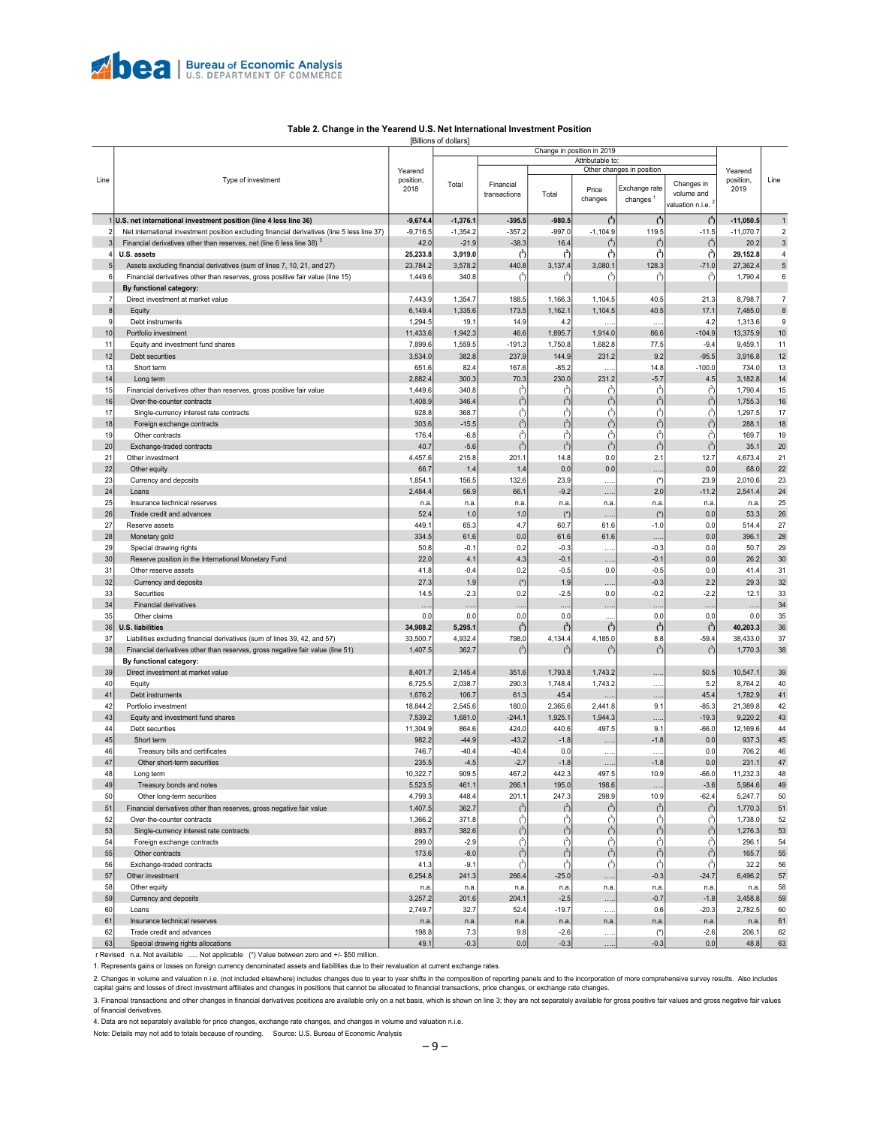#### **Table 2. Change in the Yearend U.S. Net International Investment Position**

<span id="page-8-0"></span>[Billions of dollars] Change in position in 2019 Attributable to Yearend Other changes in position Yearend Line Type of investment position, position, Line Financial Changes in Total Financial | Rice Exchange rate Changes in Production 2018 Total Price transactions volume and changes changes valuation n.i.e. 1 **U.S. net international investment position (line 4 less line 36) -9,674.4 -1,376.1 -395.5 -980.5 ( 4 ) -11,050.5** 1 **4 ) ( 4 ) (** 2 Net international investment position excluding financial derivatives (line 5 less line 37) -9,716.5 -1,354.2 -357.2 -997.0 -1,104.9 119.5 -11.5 -11,070.7 2 Financial derivatives other than reserves, net (line 6 less line 38)<sup>3</sup> 42.0  $-21.9$   $-38.3$   $16.4$  $20.2$  3  $\mathcal{L}^4$  $)$  (<sup>4</sup>)  $\begin{pmatrix} 4 \end{pmatrix}$ **3 3 ) 29,152.8** 4 **) ( 3 ) ( 3 ) ( 3** 4 **U.S. assets 25,233.8 3,919.0 ( ) (** n. Assets excluding financial derivatives (sum of lines 7, 10, 21, and 27) 23,784.2 3,578.2 440.8 3,137.4 3,080.1 128.3 -71.0 27,362.4 5 Financial derivatives other than reserves, gross positive fair value (line 15) 1,449.6 340.8 ) 1,790.4 6  $\mathfrak{c}$ 3  $\sqrt{3}$  $\sqrt{3}$  $(3)$ ) (  **By functional category:** 17.443.9 1.168.5 1.166.3 1.166.3 1.164.5 1.168.5 1.168.5 1.168.5 1.168.5 1.168.5 1.168.5 1.168.5 1.104.5 21.3 8,798.<br>17.485. 17.1 7.485. 17.3 1.162.1 1.104.5 1.1.104.5 1.1.104.5 8 Equity 6,149.4 1,335.6 173.5 1,162.1 1,104.5 40.5 17.1 7,485.0 8 9 Debt instruments 1.294.5 | 19.1 | 14.9 | 4.2 | …… | 4.2 | 1,313.6 | 9 10 Portfolio investment 11,437.6 | 11,433.6 | 11,433.6 | 1,942.3 | 46.6 | 1,895.7 | 1,914.0 | 86.6 | -104.9 13,375.9 10 Equity and investment fund shares **7.89.5** 1,599.6 1,559.5 1,559.5 1,589.5 1,582.8 1,682.8 77.5 -9.4 9,459.1 11 12 Debt securities 3,534.0 382.8 237.9 144.9 231.2 9.2 -95.5 3,916.8 12 13 Short term 651.6 82.4 167.6 -85.2 ….. 14.8 -100.0 734.0 13 14 Long term 2,882.4 300.3 70.3 230.0 231.2 -5.7 4.5 3,182.8 14 15 Financial derivatives other than reserves, gross positive fair value 1,449.6 1,449.6 340.8 ) 1,790.4 15  $\hat{c}$  $\hat{c}$  $\vec{c}$ 3 3 ) ( ) ( ) ( ) and  $($ 16 Over-the-counter contracts 1,408.9 346.<br>17 Single-currency interest rate contracts 928.8 368.  $\begin{array}{|c|c|c|}\n 1,755.3 & 16 \\
\hline\n 1,297.5 & 17\n \end{array}$  $\int_0^3$  $\begin{pmatrix} 3 \end{pmatrix}$  $\begin{pmatrix} 3 \end{pmatrix}$  $\sqrt{3}$  $\begin{pmatrix} 3 \end{pmatrix}$ Single-currency interest rate contracts  $1.297.5$  $\int_0^3$ 3 3  $\sqrt{3}$ 3 ) ( ) and  $\sim$  ( ) and  $\Gamma$ 18 Foreign exchange contracts 303.6 -15.5  $\int_{0}^{3}$ ) 288.1 18  $\begin{pmatrix} 3 \end{pmatrix}$  $\begin{pmatrix} 3 \end{pmatrix}$  $\begin{pmatrix} 3 \end{pmatrix}$  $\begin{pmatrix} 3 \end{pmatrix}$ ) 169.7 19 3 3 3 3 3 19 Other contracts (176.4 - 6.8 (176.4 - 6.8 (176.4 - 6.8 ) --------------------) ( ) ( ) ( ) (  $20$  Exchange-traded contracts  $40.7$  -5.6  $\vec{c}$  $35.1$  20 3 3  $\begin{pmatrix} 3 \end{pmatrix}$  $\sqrt{3}$ ) ( ) and  $($ 21 Other investment 4,457.6 215.8 201.1 14.8 0.0 2.1 12.7 4,673.4 21 22 Other equity | 66.7 | 1.4 | 1.4 | 0.0 | 0.0 | 0.0 | 68.0 | 22 | 23| Currency and deposits | 1,854.1| 156.5| 132.6| 23.9| ……| (\*)| 23.9| 2,010.6| 23 24 Loans 2,484.4 56.9 66.1 -9.2 ….. 2.0 -11.2 2,541.4 24 25 Insurance technical reserves n.a. n.a. n.a. n.a. n.a. n.a. n.a. n.a. 25 26 Trade credit and advances 52.4 1.0 1.0 (\*) ….. (\*) 0.0 53.3 26 27 Reserve assets 449.1 65.3 4.7 60.7 61.6 -1.0 0.0 514.4 27 28 Monetary gold 334.5 61.6 0.0 61.6 61.6 ….. 0.0 396.1 28 29 Special drawing rights 50.8 -0.1 0.2 -0.3 ….. -0.3 0.0 50.7 29 30 Reserve position in the International Monetary Fund 20.0 20.0 4.1 4.3 -0.1 ….. -0.1 0.0 26.2 30 31 Other reserve assets 41.8 -0.4 0.2 -0.5 0.0 -0.5 0.0 41.4 31  $32$  Currency and deposits 27.3 1.9 (\*)  $1.9$   $(27.3)$   $1.9$   $(32)$   $1.9$   $1.9$   $1.9$   $1.9$   $1.9$   $1.9$   $1.9$   $1.9$   $1.9$ 33 Securities 14.5 -2.3 0.2 -2.5 0.0 -0.2 -2.2 12.1 33 34 Financial derivatives ….. ….. ….. ….. ….. ….. ….. ….. 34 35 Other claims 0.0 0.0 0.0 0.0 ..... 0.0 0.0 0.0 35 **) 40,203.3** 36 **3 ) ( 3 ) ( 3 ) ( 3 ) ( 3** 36 **U.S. liabilities 34,908.2 5,295.1 (**  $\begin{array}{|l|l|l|}\hline \text{37} & \text{Liability}s\text{ excluding financial derivatives (sum of lines 39, 42, and 57)}\ \hline \end{array} \qquad \qquad \begin{array}{|l|l|}\hline \text{33,500.7} & \text{4,932.4} \qquad \text{798.0} & \text{4,134.4} & \text{4,185.0} \qquad \text{8.8} & \text{59.4} \qquad \text{38,433.0} \qquad \text{37.5} \qquad \text{38.6} \qquad \text{59.6} \qquad \text{50.7} \qquad$ Financial derivatives other than reserves, gross negative fair value (line 51) 1,407.5 362.7  $\int^3$ ) 1,770.3 38  $\begin{pmatrix} 3 \end{pmatrix}$  $\begin{pmatrix} 3 \end{pmatrix}$  $\sqrt{3}$  $\begin{pmatrix} 3 \end{pmatrix}$  **By functional category:** 39 Direct investment at market value 8,401.7 2,145.4 351.6 1,793.8 1,743.2 ….. 50.5 10,547.1 39 40 Equity 6,725.5 2,038.7 290.3 1,748.4 1,743.2 ….. 5.2 8,764.2 40 41 Debt instruments 1,678.9 1,676.2 106.7 106.7 61.3 45.4 ….. …. ….. 45.4 1,782.9 41 42 Portfolio investment 18,845.8 180.0 2,365.6 2,441.8 180.0 2,365.6 2,441.8 9.1 -85.3 21,389.8 42 43 Equity and investment fund shares 7,539.2 1,681.0 -244.1 1,925.1 1,944.3 ….. -19.3 9,220.2 43 44| Debt securities | 11,304.9| 864.6| 424.0| 440.6| 497.5| 9.1| -66.0| 12,169.6| 44 45 Short term 982.2 -44.9 -43.2 -1.8 ….. -1.8 0.0 937.3 45 46 Treasury bills and certificates 746.7 -40.4 -40.4 0.0 ….. ….. 0.0 706.2 46 0ther short-term securities 231.1 47 Chiner short-term securities 231.1 47 48 Long term 10,322.7 909.5 467.2 442.3 497.5 10.9 -66.0 11,232.3 48 49 Treasury bonds and notes 5,523.6 5,984.6 49 Treasury bonds and notes 5,523.5 5,984.6 49 Treasury bonds and notes 50 Other long-term securities 4,799.3 448.4 201.1 247.3 298.9 10.9 -62.4 5,247.7 50 51 Financial derivatives other than reserves, gross negative fair value 1,407.5 1,407.5 362.7 ) 1,770.3 51  $\int^3$  $\begin{pmatrix} 3 \end{pmatrix}$  $\begin{pmatrix} 3 \end{pmatrix}$  $\sqrt{3}$  $\begin{pmatrix} 3 \end{pmatrix}$ 52 Over-the-counter contracts<br>1,366.2 371.8 (and a simple currency interest rate contracts by the state of the state of the state of the state of the state of the state of the state of the state of the state of the state o ) 1,738.0 52 3 3  $\sqrt{3}$ 3  $(3)$ ) ( ) ( Single-currency interest rate contracts 893.7 382.6 ) 1,276.3 53  $\int^3$  $\begin{pmatrix} 3 \end{pmatrix}$  $\begin{pmatrix} 3 \end{pmatrix}$  $\sqrt{3}$  $\begin{pmatrix} 3 \end{pmatrix}$ 54 Foreign exchange contracts 299.0 -2.9 ( ) 296.1 54 3 3  $\qquad \qquad$  (3) ) ( ) (  $\mathcal{C}$ ) (  $\mathcal{L}$ 55 Other contracts 173.6 -8.0 (173.6 -8.0 (173.6 -8.0 (173.6 -8.0 (173.6 -8.0 (173.6 -8.0 ) ) 165.7 55  $\binom{3}{3}$  $\begin{pmatrix} 3 \end{pmatrix}$  $\begin{pmatrix} 3 \end{pmatrix}$  $\begin{pmatrix} 3 \end{pmatrix}$  $\begin{pmatrix} 3 \end{pmatrix}$ 56 Exchange-traded contracts 41.3 -9.1 ) 32.2 56 3  $\epsilon$  $\sqrt{3}$  $\epsilon$  $\epsilon$ ) ( ) ( ) and  $($ 57 Other investment 6,254.8 241.3 266.4 -25.0 ….. -0.3 -24.7 6,496.2 57 58 Other equity n.a. n.a. n.a. n.a. n.a. n.a. n.a. n.a. 58 59| Currency and deposits | 3,257.2| 201.6| 204.1| -2.5| ……| -0.7| -1.8| 3,458.8| 59 60 Loans 2,749.7 32.7 52.4 -19.7 ….. 0.6 -20.3 2,782.5 60 61 Insurance technical reserves n.a. n.a. n.a. n.a. n.a. n.a. n.a. n.a. 61 62 Trade credit and advances 198.8 7.3 9.8 -2.6 ….. (\*) -2.6 206.1 62 63 Special drawing rights allocations **63 Contract Contract Contract Contract Contract Contract Contract Contract** Contract Contract Contract Contract Contract Contract Contract Contract Contract Contract Contract Contract

r Revised n.a. Not available ..... Not applicable (\*) Value between zero and +/- \$50 million.

1. Represents gains or losses on foreign currency denominated assets and liabilities due to their revaluation at current exchange rates.

2. Changes in volume and valuation n.i.e. (not included elsewhere) includes changes due to year to year shifts in the composition of reporting panels and to the incorporation of more comprehensive survey results. Also incl

3. Financial transactions and other changes in financial derivatives positions are available only on a net basis, which is shown on line 3; they are not separately available for gross positive fair values and gross negativ of financial derivatives.

4. Data are not separately available for price changes, exchange rate changes, and changes in volume and valuation n.i.e. Note: Details may not add to totals because of rounding. Source: U.S. Bureau of Economic Analysis